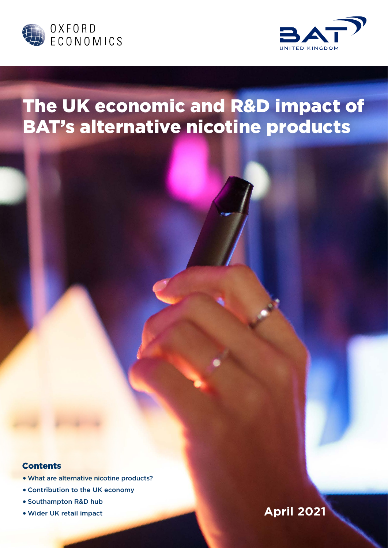



# The UK economic and R&D impact of BAT's alternative nicotine products

## **Contents**

- •What are alternative nicotine products?
- Contribution to the UK economy
- Southampton R&D hub
- 

## •Wider UK retail impact **April 2021**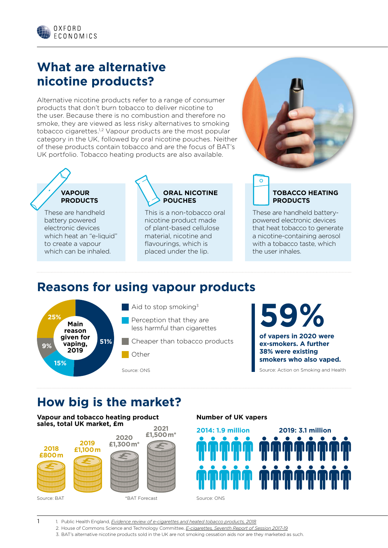

## **What are alternative nicotine products?**

Alternative nicotine products refer to a range of consumer products that don't burn tobacco to deliver nicotine to the user. Because there is no combustion and therefore no smoke, they are viewed as less risky alternatives to smoking tobacco cigarettes.1,2 Vapour products are the most popular category in the UK, followed by oral nicotine pouches. Neither of these products contain tobacco and are the focus of BAT's UK portfolio. Tobacco heating products are also available.

## **VAPOUR PRODUCTS**

These are handheld battery powered electronic devices which heat an "e-liquid" to create a vapour which can be inhaled.



This is a non-tobacco oral nicotine product made of plant-based cellulose material, nicotine and flavourings, which is placed under the lip.



## **TOBACCO HEATING PRODUCTS**

These are handheld batterypowered electronic devices that heat tobacco to generate a nicotine-containing aerosol with a tobacco taste, which the user inhales.

## **Reasons for using vapour products**



1

 $\blacksquare$  Aid to stop smoking<sup>3</sup>

- Perception that they are less harmful than cigarettes
- Cheaper than tobacco products
- Other

Source: ONS

**59%**

**of vapers in 2020 were ex-smokers. A further 38% were existing smokers who also vaped.**

Source: Action on Smoking and Health

## **How big is the market?**

**Vapour and tobacco heating product sales, total UK market, £m 2021**



### **Number of UK vapers**



1. Public Health England, *[Evidence review of e-cigarettes and heated tobacco products, 2018](https://assets.publishing.service.gov.uk/government/uploads/system/uploads/attachment_data/file/684963/Evidence_review_of_e-cigarettes_and_heated_tobacco_products_2018.pdf)*

2. House of Commons Science and Technology Committee, *[E-cigarettes, Seventh Report of Session 2017-19](https://publications.parliament.uk/pa/cm201719/cmselect/cmsctech/505/50502.htm)*

3. BAT's alternative nicotine products sold in the UK are not smoking cessation aids nor are they marketed as such.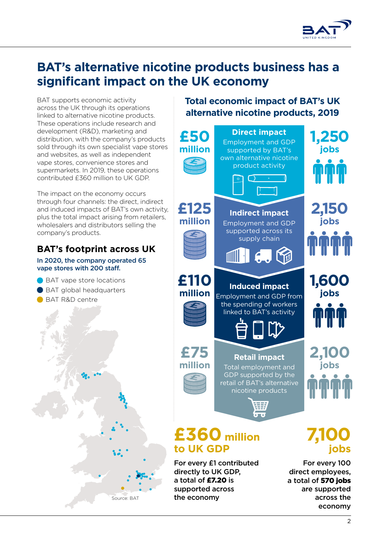

## **BAT's alternative nicotine products business has a significant impact on the UK economy**

BAT supports economic activity across the UK through its operations linked to alternative nicotine products. These operations include research and development (R&D), marketing and distribution, with the company's products sold through its own specialist vape stores and websites, as well as independent vape stores, convenience stores and supermarkets. In 2019, these operations contributed £360 million to UK GDP.

The impact on the economy occurs through four channels: the direct, indirect and induced impacts of BAT's own activity, plus the total impact arising from retailers, wholesalers and distributors selling the company's products.

## **BAT's footprint across UK**

In 2020, the company operated 65 vape stores with 200 staff.

● BAT vape store locations ● BAT global headquarters BAT R&D centre



**Total economic impact of BAT's UK alternative nicotine products, 2019**



 $\mathcal{L}$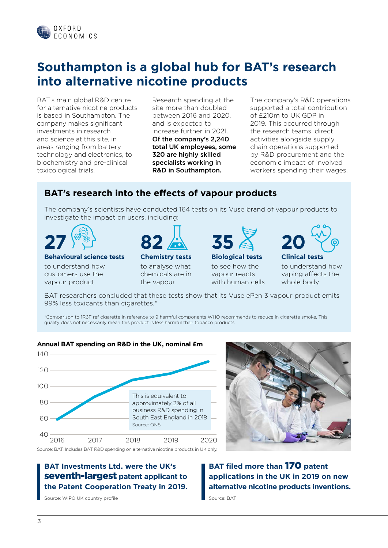

## **Southampton is a global hub for BAT's research into alternative nicotine products**

BAT's main global R&D centre for alternative nicotine products is based in Southampton. The company makes significant investments in research and science at this site, in areas ranging from battery technology and electronics, to biochemistry and pre-clinical toxicological trials.

Research spending at the site more than doubled between 2016 and 2020, and is expected to increase further in 2021. Of the company's 2,240 total UK employees, some 320 are highly skilled specialists working in R&D in Southampton.

The company's R&D operations supported a total contribution of £210m to UK GDP in 2019. This occurred through the research teams' direct activities alongside supply chain operations supported by R&D procurement and the economic impact of involved workers spending their wages.

## **BAT's research into the effects of vapour products**

The company's scientists have conducted 164 tests on its Vuse brand of vapour products to investigate the impact on users, including:



### **Behavioural science tests**

to understand how customers use the vapour product



## **Chemistry tests**

to analyse what chemicals are in the vapour



## **Biological tests**

to see how the vapour reacts with human cells

**Clinical tests 20**

to understand how vaping affects the whole body

BAT researchers concluded that these tests show that its Vuse ePen 3 vapour product emits 99% less toxicants than cigarettes.\*

\*Comparison to 1R6F ref cigarette in reference to 9 harmful components WHO recommends to reduce in cigarette smoke. This quality does not necessarily mean this product is less harmful than tobacco products

## **Annual BAT spending on R&D in the UK, nominal £m**





Source: BAT. Includes BAT R&D spending on alternative nicotine products in UK only.

## **BAT Investments Ltd. were the UK's**  seventh-largest **patent applicant to the Patent Cooperation Treaty in 2019.**

Source: WIPO UK country profile

**BAT filed more than** 170 **patent applications in the UK in 2019 on new alternative nicotine products inventions.** 

Source: BAT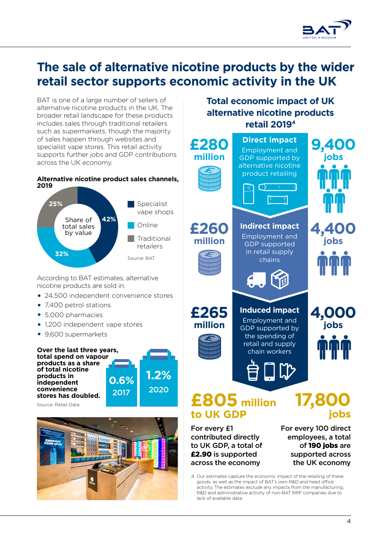

## **The sale of alternative nicotine products by the wider retail sector supports economic activity in the UK**

BAT is one of a large number of sellers of alternative nicotine products in the UK. The broader retail landscape for these products includes sales through traditional retailers such as supermarkets, though the majority of sales happen through websites and specialist vape stores. This retail activity supports further jobs and GDP contributions across the UK economy.

## **Alternative nicotine product sales channels,**



According to BAT estimates, alternative nicotine products are sold in:

- 24,500 independent convenience stores
- 7,400 petrol stations
- 5,000 pharmacies
- 1,200 independent vape stores
- 9,600 supermarkets





**Total economic impact of UK alternative nicotine products retail 20194**

| .<br>, | £280<br>million                                                                                                                                                                                                        | <b>Direct impact</b><br><b>Employment and</b><br><b>GDP</b> supported by<br>alternative nicotine<br>product retailing<br>$\Box$<br>$\Gamma$ if | 9,400<br>jobs                |
|--------|------------------------------------------------------------------------------------------------------------------------------------------------------------------------------------------------------------------------|------------------------------------------------------------------------------------------------------------------------------------------------|------------------------------|
|        | £260<br>million                                                                                                                                                                                                        | <b>Indirect impact</b><br><b>Employment and</b><br><b>GDP</b> supported<br>in retail supply<br>chains<br>$\epsilon$ .                          | 4,400<br>jobs<br><b>TTT</b>  |
|        | £265<br>million                                                                                                                                                                                                        | <b>Induced impact</b><br>Employment and<br>GDP supported by<br>the spending of<br>retail and supply<br>chain workers<br>$\Box \triangledown$   | 4,000<br>jobs<br><b>Tulu</b> |
|        | £805 million<br>17,80<br>to UK GDP<br>jobs<br>For every 100 direct<br>For every £1<br>contributed directly<br>employees, a total<br>to UK GDP, a total of<br>of 190 jobs are<br>£2.90 is supported<br>supported across |                                                                                                                                                |                              |

4. Our estimates capture the economic impact of the retailing of these goods, as well as the impact of BAT's own R&D and head office activity. The estimates exclude any impacts from the manufacturing, R&D and administrative activity of non-BAT RRP companies due to lack of available data.

across the economy

the UK economy